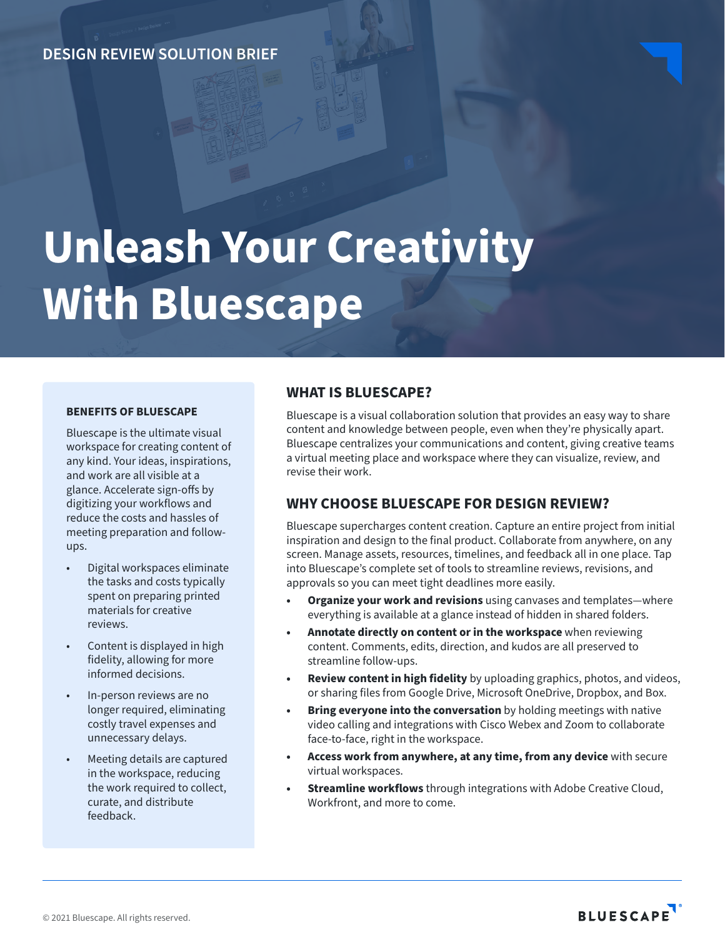# **DESIGN REVIEW SOLUTION BRIEF**

# **Unleash Your Creativity With Bluescape**

## **BENEFITS OF BLUESCAPE**

Bluescape is the ultimate visual workspace for creating content of any kind. Your ideas, inspirations, and work are all visible at a glance. Accelerate sign-offs by digitizing your workflows and reduce the costs and hassles of meeting preparation and followups.

- Digital workspaces eliminate the tasks and costs typically spent on preparing printed materials for creative reviews.
- Content is displayed in high fidelity, allowing for more informed decisions.
- In-person reviews are no longer required, eliminating costly travel expenses and unnecessary delays.
- Meeting details are captured in the workspace, reducing the work required to collect, curate, and distribute feedback.

### **WHAT IS BLUESCAPE?**

Bluescape is a visual collaboration solution that provides an easy way to share content and knowledge between people, even when they're physically apart. Bluescape centralizes your communications and content, giving creative teams a virtual meeting place and workspace where they can visualize, review, and revise their work.

## **WHY CHOOSE BLUESCAPE FOR DESIGN REVIEW?**

Bluescape supercharges content creation. Capture an entire project from initial inspiration and design to the final product. Collaborate from anywhere, on any screen. Manage assets, resources, timelines, and feedback all in one place. Tap into Bluescape's complete set of tools to streamline reviews, revisions, and approvals so you can meet tight deadlines more easily.

- **• Organize your work and revisions** using canvases and templates—where everything is available at a glance instead of hidden in shared folders.
- **• Annotate directly on content or in the workspace** when reviewing content. Comments, edits, direction, and kudos are all preserved to streamline follow-ups.
- **• Review content in high fidelity** by uploading graphics, photos, and videos, or sharing files from Google Drive, Microsoft OneDrive, Dropbox, and Box.
- **Bring everyone into the conversation** by holding meetings with native video calling and integrations with Cisco Webex and Zoom to collaborate face-to-face, right in the workspace.
- **• Access work from anywhere, at any time, from any device** with secure virtual workspaces.
- **• Streamline workflows** through integrations with Adobe Creative Cloud, Workfront, and more to come.